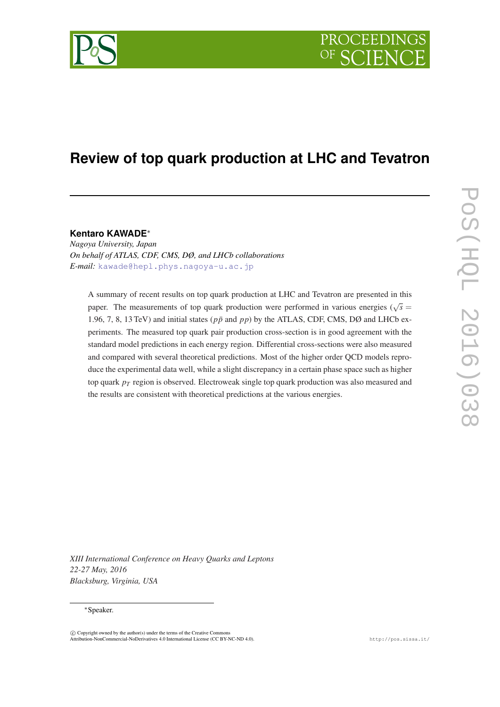

# **Review of top quark production at LHC and Tevatron**

**Kentaro KAWADE**<sup>∗</sup>

*Nagoya University, Japan On behalf of ATLAS, CDF, CMS, DØ, and LHCb collaborations E-mail:* [kawade@hepl.phys.nagoya-u.ac.jp](mailto:kawade@hepl.phys.nagoya-u.ac.jp)

A summary of recent results on top quark production at LHC and Tevatron are presented in this paper. The measurements of top quark production were performed in various energies ( $\sqrt{s}$  = 1.96, 7, 8, 13 TeV) and initial states ( $p\bar{p}$  and  $p\bar{p}$ ) by the ATLAS, CDF, CMS, DØ and LHCb experiments. The measured top quark pair production cross-section is in good agreement with the standard model predictions in each energy region. Differential cross-sections were also measured and compared with several theoretical predictions. Most of the higher order QCD models reproduce the experimental data well, while a slight discrepancy in a certain phase space such as higher top quark *p<sup>T</sup>* region is observed. Electroweak single top quark production was also measured and the results are consistent with theoretical predictions at the various energies.

*XIII International Conference on Heavy Quarks and Leptons 22-27 May, 2016 Blacksburg, Virginia, USA*

# <sup>∗</sup>Speaker.

 $\overline{c}$  Copyright owned by the author(s) under the terms of the Creative Common Attribution-NonCommercial-NoDerivatives 4.0 International License (CC BY-NC-ND 4.0). http://pos.sissa.it/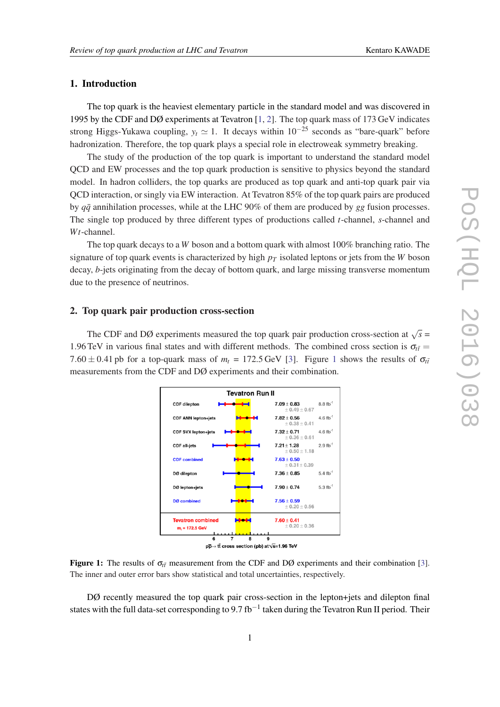# 1. Introduction

The top quark is the heaviest elementary particle in the standard model and was discovered in 1995 by the CDF and DØ experiments at Tevatron [\[1,](#page-10-0) [2](#page-10-0)]. The top quark mass of 173 GeV indicates strong Higgs-Yukawa coupling,  $y_t \approx 1$ . It decays within 10<sup>-25</sup> seconds as "bare-quark" before hadronization. Therefore, the top quark plays a special role in electroweak symmetry breaking.

The study of the production of the top quark is important to understand the standard model QCD and EW processes and the top quark production is sensitive to physics beyond the standard model. In hadron colliders, the top quarks are produced as top quark and anti-top quark pair via QCD interaction, or singly via EW interaction. At Tevatron 85% of the top quark pairs are produced by *qq*¯ annihilation processes, while at the LHC 90% of them are produced by *gg* fusion processes. The single top produced by three different types of productions called *t*-channel, *s*-channel and *Wt*-channel.

The top quark decays to a *W* boson and a bottom quark with almost 100% branching ratio. The signature of top quark events is characterized by high *p<sup>T</sup>* isolated leptons or jets from the *W* boson decay, *b*-jets originating from the decay of bottom quark, and large missing transverse momentum due to the presence of neutrinos.

# 2. Top quark pair production cross-section

The CDF and DØ experiments measured the top quark pair production cross-section at  $\sqrt{s}$  = 1.96 TeV in various final states and with different methods. The combined cross section is  $\sigma_{t\bar{t}} =$ 7.60  $\pm$  0.41 pb for a top-quark mass of  $m_t = 172.5$  GeV [\[3\]](#page-10-0). Figure 1 shows the results of  $\sigma_{t\bar{t}}$ measurements from the CDF and DØ experiments and their combination.



Figure 1: The results of  $\sigma_{t\bar{t}}$  measurement from the CDF and DØ experiments and their combination [\[3](#page-10-0)]. The inner and outer error bars show statistical and total uncertainties, respectively.

DØ recently measured the top quark pair cross-section in the lepton+jets and dilepton final states with the full data-set corresponding to 9.7 fb<sup>-1</sup> taken during the Tevatron Run II period. Their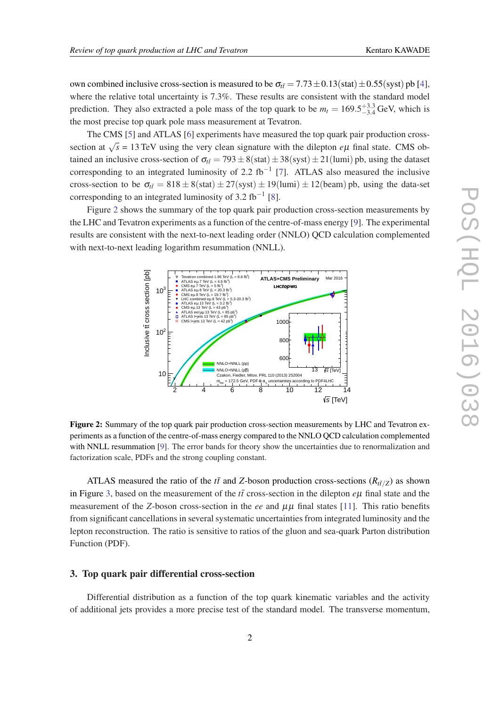own combined inclusive cross-section is measured to be  $\sigma_{t\bar{t}} = 7.73 \pm 0.13 \text{(stat)} \pm 0.55 \text{(syst)}$  pb [\[4\]](#page-10-0), where the relative total uncertainty is 7.3%. These results are consistent with the standard model prediction. They also extracted a pole mass of the top quark to be  $m_t = 169.5^{+3.3}_{-3.4}$  GeV, which is the most precise top quark pole mass measurement at Tevatron.

The CMS [\[5\]](#page-10-0) and ATLAS [\[6\]](#page-10-0) experiments have measured the top quark pair production crosssection at  $\sqrt{s}$  = 13 TeV using the very clean signature with the dilepton *eµ* final state. CMS obtained an inclusive cross-section of  $\sigma_{t\bar{t}} = 793 \pm 8(\text{stat}) \pm 38(\text{syst}) \pm 21(\text{lumi})$  pb, using the dataset corresponding to an integrated luminosity of 2.2 fb<sup>-1</sup> [\[7](#page-10-0)]. ATLAS also measured the inclusive cross-section to be  $\sigma_{t\bar{t}} = 818 \pm 8(\text{stat}) \pm 27(\text{syst}) \pm 19(\text{lumi}) \pm 12(\text{beam})$  pb, using the data-set corresponding to an integrated luminosity of 3.2 fb<sup>-1</sup> [[8](#page-10-0)].

Figure 2 shows the summary of the top quark pair production cross-section measurements by the LHC and Tevatron experiments as a function of the centre-of-mass energy [\[9\]](#page-10-0). The experimental results are consistent with the next-to-next leading order (NNLO) QCD calculation complemented with next-to-next leading logarithm resummation (NNLL).



Figure 2: Summary of the top quark pair production cross-section measurements by LHC and Tevatron experiments as a function of the centre-of-mass energy compared to the NNLO QCD calculation complemented with NNLL resummation [[9\]](#page-10-0). The error bands for theory show the uncertainties due to renormalization and factorization scale, PDFs and the strong coupling constant.

ATLAS measured the ratio of the  $t\bar{t}$  and *Z*-boson production cross-sections ( $R_{t\bar{t}/Z}$ ) as shown in Figure [3](#page-3-0), based on the measurement of the  $t\bar{t}$  cross-section in the dilepton  $e\mu$  final state and the measurement of the *Z*-boson cross-section in the *ee* and  $\mu\mu$  final states [[11\]](#page-10-0). This ratio benefits from significant cancellations in several systematic uncertainties from integrated luminosity and the lepton reconstruction. The ratio is sensitive to ratios of the gluon and sea-quark Parton distribution Function (PDF).

# 3. Top quark pair differential cross-section

Differential distribution as a function of the top quark kinematic variables and the activity of additional jets provides a more precise test of the standard model. The transverse momentum,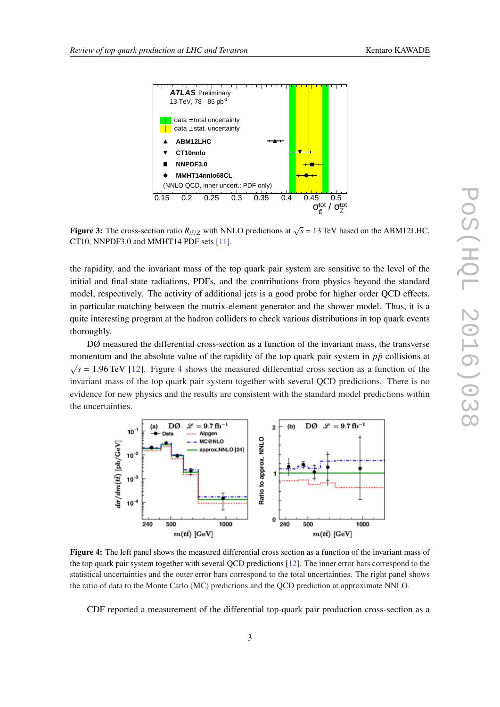<span id="page-3-0"></span>

Figure 3: The cross-section ratio  $R_{t\bar{t}/Z}$  with NNLO predictions at  $\sqrt{s}$  = 13 TeV based on the ABM12LHC, CT10, NNPDF3.0 and MMHT14 PDF sets [\[11](#page-10-0)].

the rapidity, and the invariant mass of the top quark pair system are sensitive to the level of the initial and final state radiations, PDFs, and the contributions from physics beyond the standard model, respectively. The activity of additional jets is a good probe for higher order QCD effects, in particular matching between the matrix-element generator and the shower model. Thus, it is a quite interesting program at the hadron colliders to check various distributions in top quark events thoroughly.

DØ measured the differential cross-section as a function of the invariant mass, the transverse momentum and the absolute value of the rapidity of the top quark pair system in  $p\bar{p}$  collisions at √  $\overline{s}$  = 1.96 TeV [[12](#page-10-0)]. Figure 4 shows the measured differential cross section as a function of the invariant mass of the top quark pair system together with several QCD predictions. There is no evidence for new physics and the results are consistent with the standard model predictions within the uncertainties.



Figure 4: The left panel shows the measured differential cross section as a function of the invariant mass of the top quark pair system together with several QCD predictions [\[12](#page-10-0)]. The inner error bars correspond to the statistical uncertainties and the outer error bars correspond to the total uncertainties. The right panel shows the ratio of data to the Monte Carlo (MC) predictions and the QCD prediction at approximate NNLO.

CDF reported a measurement of the differential top-quark pair production cross-section as a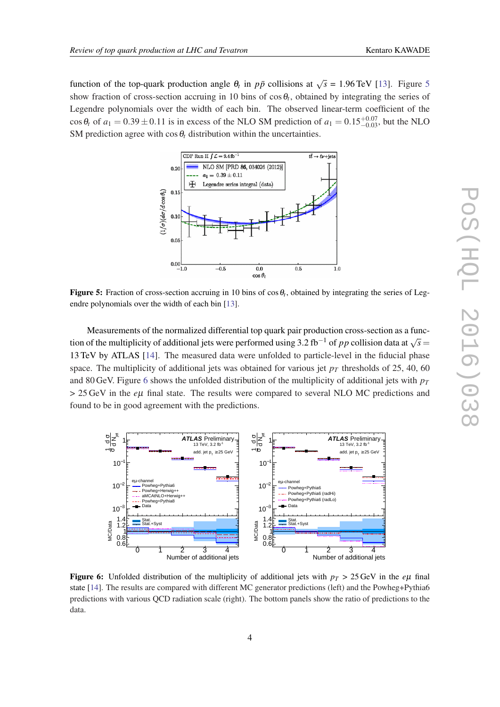function of the top-quark production angle  $\theta_t$  in  $p\bar{p}$  collisions at  $\sqrt{s} = 1.96$  TeV [\[13](#page-10-0)]. Figure 5 show fraction of cross-section accruing in 10 bins of  $\cos \theta_t$ , obtained by integrating the series of Legendre polynomials over the width of each bin. The observed linear-term coefficient of the cos  $\theta_t$  of  $a_1 = 0.39 \pm 0.11$  is in excess of the NLO SM prediction of  $a_1 = 0.15_{-0.03}^{+0.07}$ , but the NLO SM prediction agree with  $\cos \theta_t$  distribution within the uncertainties.



Figure 5: Fraction of cross-section accruing in 10 bins of  $\cos \theta_t$ , obtained by integrating the series of Legendre polynomials over the width of each bin [[13](#page-10-0)].

Measurements of the normalized differential top quark pair production cross-section as a function of the multiplicity of additional jets were performed using 3.2 fb<sup>−1</sup> of *pp* collision data at  $\sqrt{s}$  = 13 TeV by ATLAS [\[14](#page-10-0)]. The measured data were unfolded to particle-level in the fiducial phase space. The multiplicity of additional jets was obtained for various jet  $p<sub>T</sub>$  thresholds of 25, 40, 60 and 80 GeV. Figure 6 shows the unfolded distribution of the multiplicity of additional jets with  $p_T$ > 25 GeV in the *e*µ final state. The results were compared to several NLO MC predictions and found to be in good agreement with the predictions.



**Figure 6:** Unfolded distribution of the multiplicity of additional jets with  $p<sub>T</sub> > 25 \text{ GeV}$  in the *eµ* final state [\[14](#page-10-0)]. The results are compared with different MC generator predictions (left) and the Powheg+Pythia6 predictions with various QCD radiation scale (right). The bottom panels show the ratio of predictions to the data.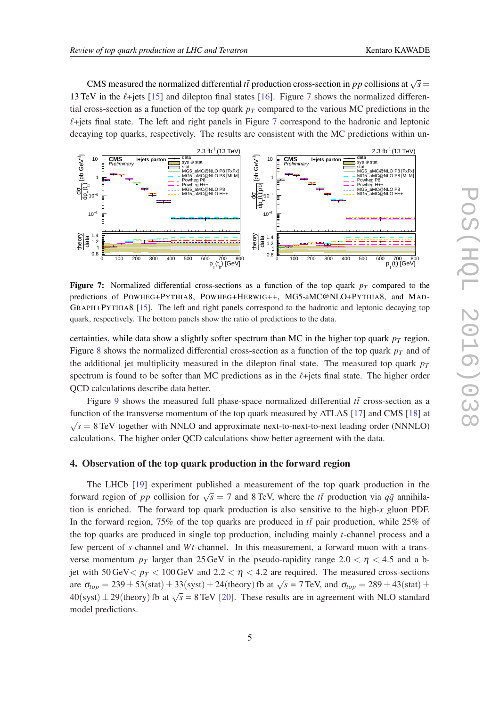CMS measured the normalized differential *tt* production cross-section in *pp* collisions at  $\sqrt{s}$  = 13 TeV in the  $\ell$ +jets [[15\]](#page-10-0) and dilepton final states [[16](#page-10-0)]. Figure 7 shows the normalized differential cross-section as a function of the top quark  $p_T$  compared to the various MC predictions in the  $\ell$ +jets final state. The left and right panels in Figure 7 correspond to the hadronic and leptonic decaying top quarks, respectively. The results are consistent with the MC predictions within un-



**Figure 7:** Normalized differential cross-sections as a function of the top quark  $p<sub>T</sub>$  compared to the predictions of POWHEG+PYTHIA8, POWHEG+HERWIG++, MG5-aMC@NLO+PYTHIA8, and MAD-GRAPH+PYTHIA8 [[15\]](#page-10-0). The left and right panels correspond to the hadronic and leptonic decaying top quark, respectively. The bottom panels show the ratio of predictions to the data.

certainties, while data show a slightly softer spectrum than MC in the higher top quark  $p<sub>T</sub>$  region. Figure [8](#page-6-0) shows the normalized differential cross-section as a function of the top quark  $p<sub>T</sub>$  and of the additional jet multiplicity measured in the dilepton final state. The measured top quark  $p_T$ spectrum is found to be softer than MC predictions as in the  $\ell$ +jets final state. The higher order QCD calculations describe data better.

Figure [9](#page-6-0) shows the measured full phase-space normalized differential  $t\bar{t}$  cross-section as a function of the transverse momentum of the top quark measured by ATLAS [\[17](#page-10-0)] and CMS [[18\]](#page-11-0) at √  $\overline{s} = 8$  TeV together with NNLO and approximate next-to-next-to-next leading order (NNNLO) calculations. The higher order QCD calculations show better agreement with the data.

# 4. Observation of the top quark production in the forward region

The LHCb [[19\]](#page-11-0) experiment published a measurement of the top quark production in the forward region of *pp* collision for  $\sqrt{s} = 7$  and 8 TeV, where the *tt*<sup> $t$ </sup> production via  $q\bar{q}$  annihilation is enriched. The forward top quark production is also sensitive to the high-*x* gluon PDF. In the forward region, 75% of the top quarks are produced in  $t\bar{t}$  pair production, while 25% of the top quarks are produced in single top production, including mainly *t*-channel process and a few percent of *s*-channel and *Wt*-channel. In this measurement, a forward muon with a transverse momentum  $p_T$  larger than 25 GeV in the pseudo-rapidity range 2.0  $\lt \eta \lt 4.5$  and a bjet with 50 GeV  $p_T < 100$  GeV and 2.2  $< \eta < 4.2$  are required. The measured cross-sections are  $\sigma_{top} = 239 \pm 53 \text{(stat)} \pm 33 \text{(syst)} \pm 24 \text{(theory)}$  fb at  $\sqrt{s} = 7 \text{ TeV}$ , and  $\sigma_{top} = 289 \pm 43 \text{(stat)} \pm 24 \text{(syst)} \pm 24 \text{(theory)}$  $40(syst) \pm 29(theory)$  fb at  $\sqrt{s} = 8$  TeV [\[20](#page-11-0)]. These results are in agreement with NLO standard model predictions.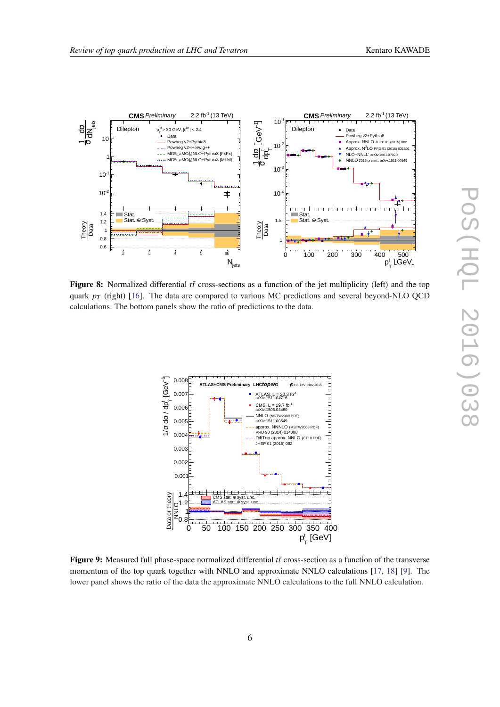<span id="page-6-0"></span>

Figure 8: Normalized differential  $t\bar{t}$  cross-sections as a function of the jet multiplicity (left) and the top quark  $p_T$  (right) [\[16](#page-10-0)]. The data are compared to various MC predictions and several beyond-NLO QCD calculations. The bottom panels show the ratio of predictions to the data.



Figure 9: Measured full phase-space normalized differential *tt* cross-section as a function of the transverse momentum of the top quark together with NNLO and approximate NNLO calculations [[17,](#page-10-0) [18](#page-11-0)] [\[9](#page-10-0)]. The lower panel shows the ratio of the data the approximate NNLO calculations to the full NNLO calculation.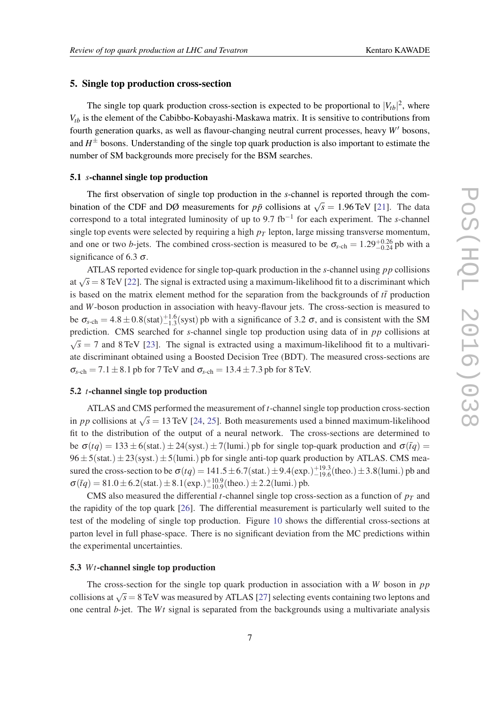### 5. Single top production cross-section

The single top quark production cross-section is expected to be proportional to  $|V_{tb}|^2$ , where *Vtb* is the element of the Cabibbo-Kobayashi-Maskawa matrix. It is sensitive to contributions from fourth generation quarks, as well as flavour-changing neutral current processes, heavy *W'* bosons, and *H* <sup>±</sup> bosons. Understanding of the single top quark production is also important to estimate the number of SM backgrounds more precisely for the BSM searches.

# 5.1 *s*-channel single top production

The first observation of single top production in the *s*-channel is reported through the combination of the CDF and DØ measurements for  $p\bar{p}$  collisions at  $\sqrt{s} = 1.96$  TeV [\[21](#page-11-0)]. The data correspond to a total integrated luminosity of up to 9.7 fb−<sup>1</sup> for each experiment. The *s*-channel single top events were selected by requiring a high  $p<sub>T</sub>$  lepton, large missing transverse momentum, and one or two *b*-jets. The combined cross-section is measured to be  $\sigma_{s-ch} = 1.29^{+0.26}_{-0.24}$  pb with a significance of 6.3  $\sigma$ .

ATLAS reported evidence for single top-quark production in the *s*-channel using *pp* collisions at  $\sqrt{s} = 8$  TeV [[22](#page-11-0)]. The signal is extracted using a maximum-likelihood fit to a discriminant which is based on the matrix element method for the separation from the backgrounds of  $t\bar{t}$  production and *W*-boson production in association with heavy-flavour jets. The cross-section is measured to be  $\sigma_{s-ch} = 4.8 \pm 0.8 \text{(stat)}_{-1.3}^{+1.6} \text{(syst)}$  pb with a significance of 3.2  $\sigma$ , and is consistent with the SM prediction. CMS searched for *s*-channel single top production using data of in *pp* collisions at  $\sqrt{s}$  = 7 and 8 TeV [\[23\]](#page-11-0). The signal is extracted using a maximum-likelihood fit to a multivariate discriminant obtained using a Boosted Decision Tree (BDT). The measured cross-sections are  $\sigma_{s-ch} = 7.1 \pm 8.1$  pb for 7 TeV and  $\sigma_{s-ch} = 13.4 \pm 7.3$  pb for 8 TeV.

# 5.2 *t*-channel single top production

ATLAS and CMS performed the measurement of *t*-channel single top production cross-section in *pp* collisions at  $\sqrt{s} = 13$  TeV [\[24](#page-11-0), [25\]](#page-11-0). Both measurements used a binned maximum-likelihood fit to the distribution of the output of a neural network. The cross-sections are determined to be  $\sigma(tq) = 133 \pm 6$ (stat.)  $\pm 24$ (syst.)  $\pm 7$ (lumi.) pb for single top-quark production and  $\sigma(\bar{t}q)$  =  $96 \pm 5$ (stat.)  $\pm 23$ (syst.)  $\pm 5$ (lumi.) pb for single anti-top quark production by ATLAS. CMS measured the cross-section to be  $\sigma(tq) = 141.5 \pm 6.7(\text{stat.}) \pm 9.4(\text{exp.})^{+19.3}_{-19.6}(\text{theo.}) \pm 3.8(\text{lumi.})$  pb and  $\sigma(\bar{t}q) = 81.0 \pm 6.2 \text{(stat.)} \pm 8.1 \text{(exp.)} ^{+10.9}_{-10.9} \text{(theo.)} \pm 2.2 \text{(lumi.)} \text{pb.}$ 

CMS also measured the differential *t*-channel single top cross-section as a function of  $p_T$  and the rapidity of the top quark [\[26](#page-11-0)]. The differential measurement is particularly well suited to the test of the modeling of single top production. Figure [10](#page-8-0) shows the differential cross-sections at parton level in full phase-space. There is no significant deviation from the MC predictions within the experimental uncertainties.

#### 5.3 *Wt*-channel single top production

The cross-section for the single top quark production in association with a *W* boson in *pp* collisions at  $\sqrt{s}$  = 8 TeV was measured by ATLAS [\[27\]](#page-11-0) selecting events containing two leptons and one central *b*-jet. The *Wt* signal is separated from the backgrounds using a multivariate analysis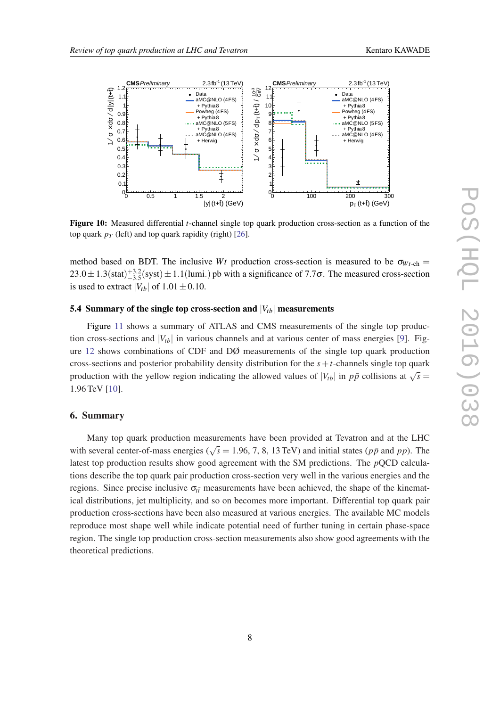<span id="page-8-0"></span>

Figure 10: Measured differential *t*-channel single top quark production cross-section as a function of the top quark  $p_T$  (left) and top quark rapidity (right) [[26\]](#page-11-0).

method based on BDT. The inclusive *Wt* production cross-section is measured to be  $\sigma_{Wt-ch}$  =  $23.0 \pm 1.3$ (stat) $^{+3.2}_{-3.5}$ (syst)  $\pm 1.1$ (lumi.) pb with a significance of 7.7 $\sigma$ . The measured cross-section is used to extract  $|V_{tb}|$  of  $1.01 \pm 0.10$ .

# 5.4 Summary of the single top cross-section and  $|V_{th}|$  measurements

Figure [11](#page-9-0) shows a summary of ATLAS and CMS measurements of the single top production cross-sections and  $|V_{tb}|$  in various channels and at various center of mass energies [\[9\]](#page-10-0). Figure [12](#page-9-0) shows combinations of CDF and DØ measurements of the single top quark production cross-sections and posterior probability density distribution for the  $s + t$ -channels single top quark production with the yellow region indicating the allowed values of  $|V_{tb}|$  in  $p\bar{p}$  collisions at  $\sqrt{s}$  = 1.96 TeV [\[10](#page-10-0)].

#### 6. Summary

Many top quark production measurements have been provided at Tevatron and at the LHC with several center-of-mass energies ( $\sqrt{s}$  = 1.96, 7, 8, 13 TeV) and initial states ( $p\bar{p}$  and  $pp$ ). The latest top production results show good agreement with the SM predictions. The *p*QCD calculations describe the top quark pair production cross-section very well in the various energies and the regions. Since precise inclusive  $\sigma_{t\bar{t}}$  measurements have been achieved, the shape of the kinematical distributions, jet multiplicity, and so on becomes more important. Differential top quark pair production cross-sections have been also measured at various energies. The available MC models reproduce most shape well while indicate potential need of further tuning in certain phase-space region. The single top production cross-section measurements also show good agreements with the theoretical predictions.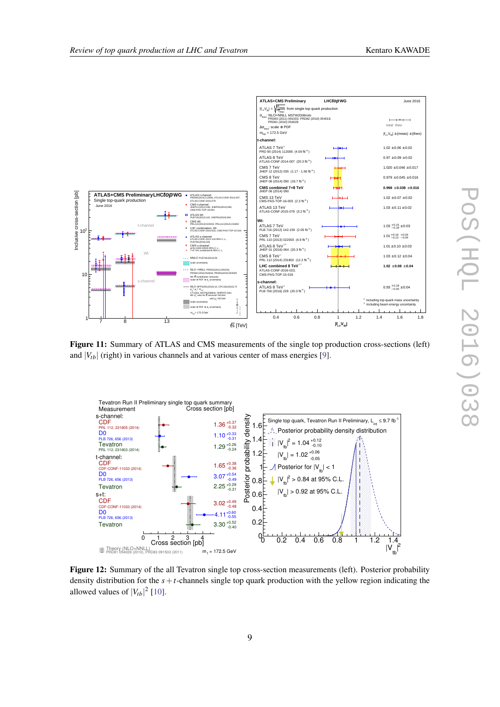<span id="page-9-0"></span>

Figure 11: Summary of ATLAS and CMS measurements of the single top production cross-sections (left) and  $|V_{tb}|$  (right) in various channels and at various center of mass energies [[9\]](#page-10-0).



Figure 12: Summary of the all Tevatron single top cross-section measurements (left). Posterior probability density distribution for the *s*+*t*-channels single top quark production with the yellow region indicating the allowed values of  $|V_{tb}|^2$  [[10\]](#page-10-0).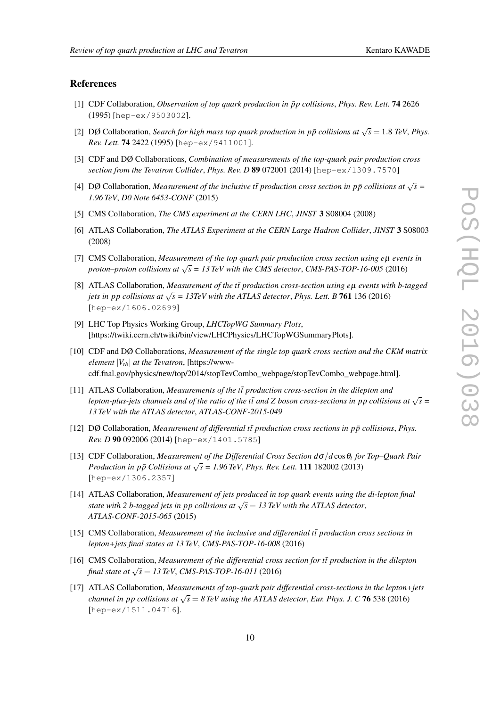# <span id="page-10-0"></span>References

- [1] CDF Collaboration, *Observation of top quark production in*  $\bar{p}p$  collisions, *Phys. Rev. Lett.* **74** 2626 (1995) [hep-ex/9503002].
- [2] DØ Collaboration, *Search for high mass top quark production in pp̃ collisions at*  $\sqrt{s} = 1.8$  *TeV, Phys. Rev. Lett.* 74 2422 (1995) [hep-ex/9411001].
- [3] CDF and DØ Collaborations, *Combination of measurements of the top-quark pair production cross section from the Tevatron Collider*, *Phys. Rev. D* 89 072001 (2014) [hep-ex/1309.7570]
- [4] DØ Collaboration, *Measurement of the inclusive tt̄ production cross section in*  $p\bar{p}$  *collisions at*  $\sqrt{s}$  = *1.96 TeV*, *D0 Note 6453-CONF* (2015)
- [5] CMS Collaboration, *The CMS experiment at the CERN LHC*, *JINST* 3 S08004 (2008)
- [6] ATLAS Collaboration, *The ATLAS Experiment at the CERN Large Hadron Collider*, *JINST* 3 S08003 (2008)
- [7] CMS Collaboration, *Measurement of the top quark pair production cross section using e*µ *events in proton–proton collisions at* <sup>√</sup> *s = 13 TeV with the CMS detector*, *CMS-PAS-TOP-16-005* (2016)
- [8] ATLAS Collaboration, *Measurement of the tt̃ production cross-section using eµ events with b-tagged jets in pp collisions at*  $\sqrt{s} = 13TeV$  with the ATLAS detector, *Phys. Lett. B* 761 136 (2016) [hep-ex/1606.02699]
- [9] LHC Top Physics Working Group, *LHCTopWG Summary Plots*, [https://twiki.cern.ch/twiki/bin/view/LHCPhysics/LHCTopWGSummaryPlots].
- [10] CDF and DØ Collaborations, *Measurement of the single top quark cross section and the CKM matrix element*  $|V_{tb}|$  *at the Tevatron*, [https://wwwcdf.fnal.gov/physics/new/top/2014/stopTevCombo\_webpage/stopTevCombo\_webpage.html].
- [11] ATLAS Collaboration, *Measurements of the tt<sup>r</sup> production cross-section in the dilepton and lepton-plus-jets channels and of the ratio of the tt and Z boson cross-sections in pp collisions at*  $\sqrt{s}$  = *13 TeV with the ATLAS detector*, *ATLAS-CONF-2015-049*
- $[12]$  DØ Collaboration, *Measurement of differential tt production cross sections in*  $p\bar{p}$  *collisions, Phys. Rev. D* 90 092006 (2014) [hep-ex/1401.5785]
- [13] CDF Collaboration, *Measurement of the Differential Cross Section d*σ/*d* cosθ*<sup>t</sup> for Top–Quark Pair Production in pp Collisions at*  $\sqrt{s} = 1.96$  TeV, *Phys. Rev. Lett.* **111** 182002 (2013) [hep-ex/1306.2357]
- [14] ATLAS Collaboration, *Measurement of jets produced in top quark events using the di-lepton final state with 2 b-tagged jets in pp collisions at*  $\sqrt{s} = 13$  TeV with the ATLAS detector, *ATLAS-CONF-2015-065* (2015)
- [15] CMS Collaboration, *Measurement of the inclusive and differential tt production cross sections in lepton+jets final states at 13 TeV*, *CMS-PAS-TOP-16-008* (2016)
- [16] CMS Collaboration, *Measurement of the differential cross section for tt production in the dilepton*  $final state at  $\sqrt{s} = 13 \text{ TeV}$ , *CMS-PAS-TOP-16-011* (2016)$
- [17] ATLAS Collaboration, *Measurements of top-quark pair differential cross-sections in the lepton+jets channel in pp collisions at* <sup>√</sup> *s* = *8 TeV using the ATLAS detector*, *Eur. Phys. J. C* 76 538 (2016) [hep-ex/1511.04716].